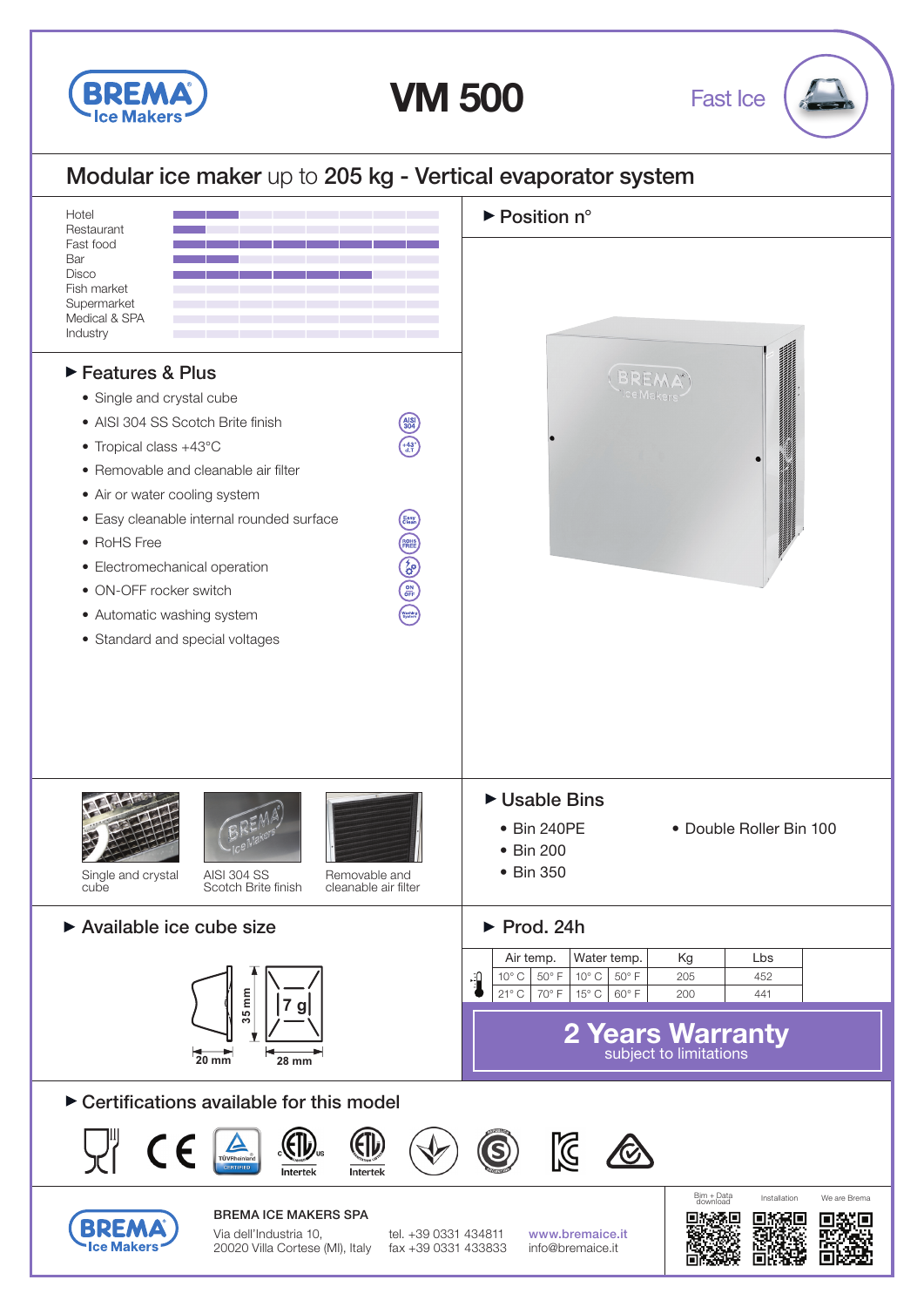

**VM 500**

Fast Ice